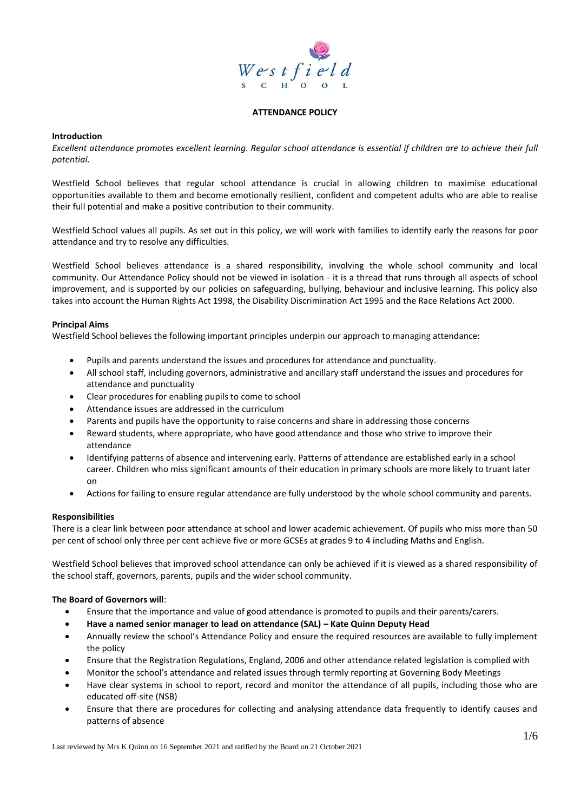

### **ATTENDANCE POLICY**

## **Introduction**

*Excellent attendance promotes excellent learning. Regular school attendance is essential if children are to achieve their full potential.* 

Westfield School believes that regular school attendance is crucial in allowing children to maximise educational opportunities available to them and become emotionally resilient, confident and competent adults who are able to realise their full potential and make a positive contribution to their community.

Westfield School values all pupils. As set out in this policy, we will work with families to identify early the reasons for poor attendance and try to resolve any difficulties.

Westfield School believes attendance is a shared responsibility, involving the whole school community and local community. Our Attendance Policy should not be viewed in isolation - it is a thread that runs through all aspects of school improvement, and is supported by our policies on safeguarding, bullying, behaviour and inclusive learning. This policy also takes into account the Human Rights Act 1998, the Disability Discrimination Act 1995 and the Race Relations Act 2000.

### **Principal Aims**

Westfield School believes the following important principles underpin our approach to managing attendance:

- Pupils and parents understand the issues and procedures for attendance and punctuality.
- All school staff, including governors, administrative and ancillary staff understand the issues and procedures for attendance and punctuality
- Clear procedures for enabling pupils to come to school
- Attendance issues are addressed in the curriculum
- Parents and pupils have the opportunity to raise concerns and share in addressing those concerns
- Reward students, where appropriate, who have good attendance and those who strive to improve their attendance
- Identifying patterns of absence and intervening early. Patterns of attendance are established early in a school career. Children who miss significant amounts of their education in primary schools are more likely to truant later on
- Actions for failing to ensure regular attendance are fully understood by the whole school community and parents.

#### **Responsibilities**

There is a clear link between poor attendance at school and lower academic achievement. Of pupils who miss more than 50 per cent of school only three per cent achieve five or more GCSEs at grades 9 to 4 including Maths and English.

Westfield School believes that improved school attendance can only be achieved if it is viewed as a shared responsibility of the school staff, governors, parents, pupils and the wider school community.

#### **The Board of Governors will**:

- Ensure that the importance and value of good attendance is promoted to pupils and their parents/carers.
- **Have a named senior manager to lead on attendance (SAL) – Kate Quinn Deputy Head**
- Annually review the school's Attendance Policy and ensure the required resources are available to fully implement the policy
- Ensure that the Registration Regulations, England, 2006 and other attendance related legislation is complied with
- Monitor the school's attendance and related issues through termly reporting at Governing Body Meetings
- Have clear systems in school to report, record and monitor the attendance of all pupils, including those who are educated off-site (NSB)
- Ensure that there are procedures for collecting and analysing attendance data frequently to identify causes and patterns of absence

Last reviewed by Mrs K Quinn on 16 September 2021 and ratified by the Board on 21 October 2021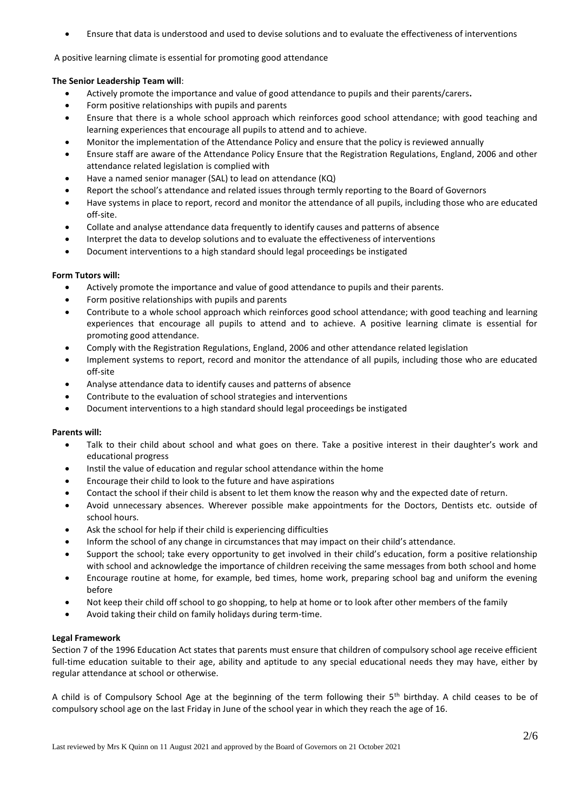• Ensure that data is understood and used to devise solutions and to evaluate the effectiveness of interventions

A positive learning climate is essential for promoting good attendance

# **The Senior Leadership Team will**:

- Actively promote the importance and value of good attendance to pupils and their parents/carers**.**
- Form positive relationships with pupils and parents
- Ensure that there is a whole school approach which reinforces good school attendance; with good teaching and learning experiences that encourage all pupils to attend and to achieve.
- Monitor the implementation of the Attendance Policy and ensure that the policy is reviewed annually
- Ensure staff are aware of the Attendance Policy Ensure that the Registration Regulations, England, 2006 and other attendance related legislation is complied with
- Have a named senior manager (SAL) to lead on attendance (KQ)
- Report the school's attendance and related issues through termly reporting to the Board of Governors
- Have systems in place to report, record and monitor the attendance of all pupils, including those who are educated off-site.
- Collate and analyse attendance data frequently to identify causes and patterns of absence
- Interpret the data to develop solutions and to evaluate the effectiveness of interventions
- Document interventions to a high standard should legal proceedings be instigated

# **Form Tutors will:**

- Actively promote the importance and value of good attendance to pupils and their parents.
- Form positive relationships with pupils and parents
- Contribute to a whole school approach which reinforces good school attendance; with good teaching and learning experiences that encourage all pupils to attend and to achieve. A positive learning climate is essential for promoting good attendance.
- Comply with the Registration Regulations, England, 2006 and other attendance related legislation
- Implement systems to report, record and monitor the attendance of all pupils, including those who are educated off-site
- Analyse attendance data to identify causes and patterns of absence
- Contribute to the evaluation of school strategies and interventions
- Document interventions to a high standard should legal proceedings be instigated

# **Parents will:**

- Talk to their child about school and what goes on there. Take a positive interest in their daughter's work and educational progress
- Instil the value of education and regular school attendance within the home
- Encourage their child to look to the future and have aspirations
- Contact the school if their child is absent to let them know the reason why and the expected date of return.
- Avoid unnecessary absences. Wherever possible make appointments for the Doctors, Dentists etc. outside of school hours.
- Ask the school for help if their child is experiencing difficulties
- Inform the school of any change in circumstances that may impact on their child's attendance.
- Support the school; take every opportunity to get involved in their child's education, form a positive relationship with school and acknowledge the importance of children receiving the same messages from both school and home
- Encourage routine at home, for example, bed times, home work, preparing school bag and uniform the evening before
- Not keep their child off school to go shopping, to help at home or to look after other members of the family
- Avoid taking their child on family holidays during term-time.

# **Legal Framework**

Section 7 of the 1996 Education Act states that parents must ensure that children of compulsory school age receive efficient full-time education suitable to their age, ability and aptitude to any special educational needs they may have, either by regular attendance at school or otherwise.

A child is of Compulsory School Age at the beginning of the term following their  $5<sup>th</sup>$  birthday. A child ceases to be of compulsory school age on the last Friday in June of the school year in which they reach the age of 16.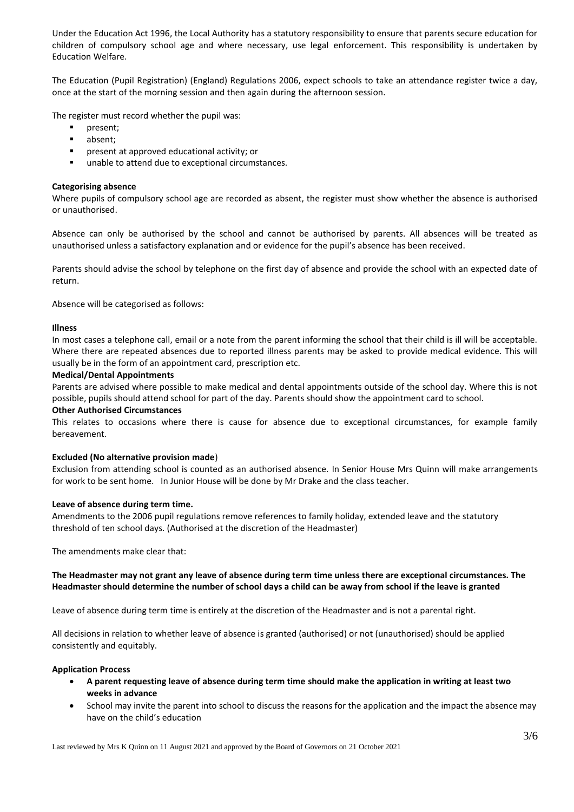Under the Education Act 1996, the Local Authority has a statutory responsibility to ensure that parents secure education for children of compulsory school age and where necessary, use legal enforcement. This responsibility is undertaken by Education Welfare.

The Education (Pupil Registration) (England) Regulations 2006, expect schools to take an attendance register twice a day, once at the start of the morning session and then again during the afternoon session.

The register must record whether the pupil was:

- present;
- absent;
- present at approved educational activity; or
- unable to attend due to exceptional circumstances.

### **Categorising absence**

Where pupils of compulsory school age are recorded as absent, the register must show whether the absence is authorised or unauthorised.

Absence can only be authorised by the school and cannot be authorised by parents. All absences will be treated as unauthorised unless a satisfactory explanation and or evidence for the pupil's absence has been received.

Parents should advise the school by telephone on the first day of absence and provide the school with an expected date of return.

Absence will be categorised as follows:

#### **Illness**

In most cases a telephone call, email or a note from the parent informing the school that their child is ill will be acceptable. Where there are repeated absences due to reported illness parents may be asked to provide medical evidence. This will usually be in the form of an appointment card, prescription etc.

#### **Medical/Dental Appointments**

Parents are advised where possible to make medical and dental appointments outside of the school day. Where this is not possible, pupils should attend school for part of the day. Parents should show the appointment card to school.

#### **Other Authorised Circumstances**

This relates to occasions where there is cause for absence due to exceptional circumstances, for example family bereavement.

#### **Excluded (No alternative provision made**)

Exclusion from attending school is counted as an authorised absence. In Senior House Mrs Quinn will make arrangements for work to be sent home. In Junior House will be done by Mr Drake and the class teacher.

#### **Leave of absence during term time.**

Amendments to the 2006 pupil regulations remove references to family holiday, extended leave and the statutory threshold of ten school days. (Authorised at the discretion of the Headmaster)

The amendments make clear that:

### **The Headmaster may not grant any leave of absence during term time unless there are exceptional circumstances. The Headmaster should determine the number of school days a child can be away from school if the leave is granted**

Leave of absence during term time is entirely at the discretion of the Headmaster and is not a parental right.

All decisions in relation to whether leave of absence is granted (authorised) or not (unauthorised) should be applied consistently and equitably.

#### **Application Process**

- **A parent requesting leave of absence during term time should make the application in writing at least two weeks in advance**
- School may invite the parent into school to discuss the reasons for the application and the impact the absence may have on the child's education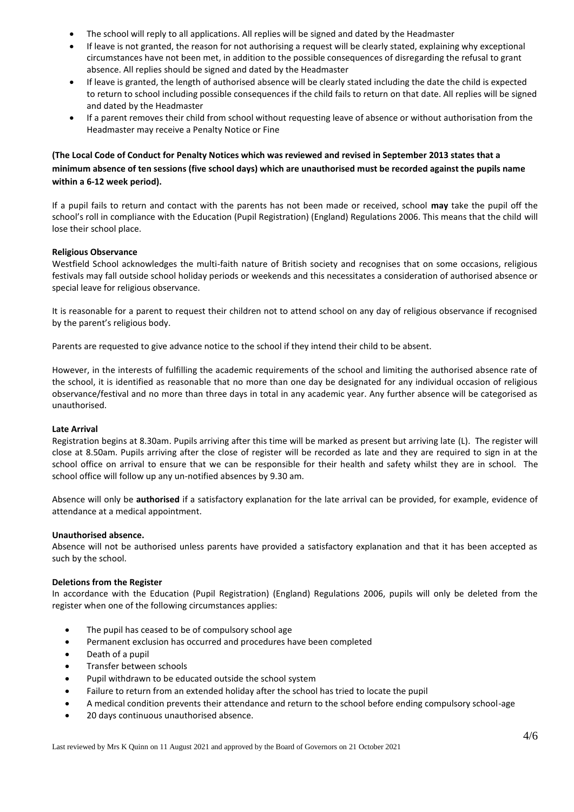- The school will reply to all applications. All replies will be signed and dated by the Headmaster
- If leave is not granted, the reason for not authorising a request will be clearly stated, explaining why exceptional circumstances have not been met, in addition to the possible consequences of disregarding the refusal to grant absence. All replies should be signed and dated by the Headmaster
- If leave is granted, the length of authorised absence will be clearly stated including the date the child is expected to return to school including possible consequences if the child fails to return on that date. All replies will be signed and dated by the Headmaster
- If a parent removes their child from school without requesting leave of absence or without authorisation from the Headmaster may receive a Penalty Notice or Fine

# **(The Local Code of Conduct for Penalty Notices which was reviewed and revised in September 2013 states that a minimum absence of ten sessions (five school days) which are unauthorised must be recorded against the pupils name within a 6-12 week period).**

If a pupil fails to return and contact with the parents has not been made or received, school **may** take the pupil off the school's roll in compliance with the Education (Pupil Registration) (England) Regulations 2006. This means that the child will lose their school place.

# **Religious Observance**

Westfield School acknowledges the multi-faith nature of British society and recognises that on some occasions, religious festivals may fall outside school holiday periods or weekends and this necessitates a consideration of authorised absence or special leave for religious observance.

It is reasonable for a parent to request their children not to attend school on any day of religious observance if recognised by the parent's religious body.

Parents are requested to give advance notice to the school if they intend their child to be absent.

However, in the interests of fulfilling the academic requirements of the school and limiting the authorised absence rate of the school, it is identified as reasonable that no more than one day be designated for any individual occasion of religious observance/festival and no more than three days in total in any academic year. Any further absence will be categorised as unauthorised.

# **Late Arrival**

Registration begins at 8.30am. Pupils arriving after this time will be marked as present but arriving late (L). The register will close at 8.50am. Pupils arriving after the close of register will be recorded as late and they are required to sign in at the school office on arrival to ensure that we can be responsible for their health and safety whilst they are in school. The school office will follow up any un-notified absences by 9.30 am.

Absence will only be **authorised** if a satisfactory explanation for the late arrival can be provided, for example, evidence of attendance at a medical appointment.

# **Unauthorised absence.**

Absence will not be authorised unless parents have provided a satisfactory explanation and that it has been accepted as such by the school.

# **Deletions from the Register**

In accordance with the Education (Pupil Registration) (England) Regulations 2006, pupils will only be deleted from the register when one of the following circumstances applies:

- The pupil has ceased to be of compulsory school age
- Permanent exclusion has occurred and procedures have been completed
- Death of a pupil
- Transfer between schools
- Pupil withdrawn to be educated outside the school system
- Failure to return from an extended holiday after the school has tried to locate the pupil
- A medical condition prevents their attendance and return to the school before ending compulsory school-age
- 20 days continuous unauthorised absence.

Last reviewed by Mrs K Quinn on 11 August 2021 and approved by the Board of Governors on 21 October 2021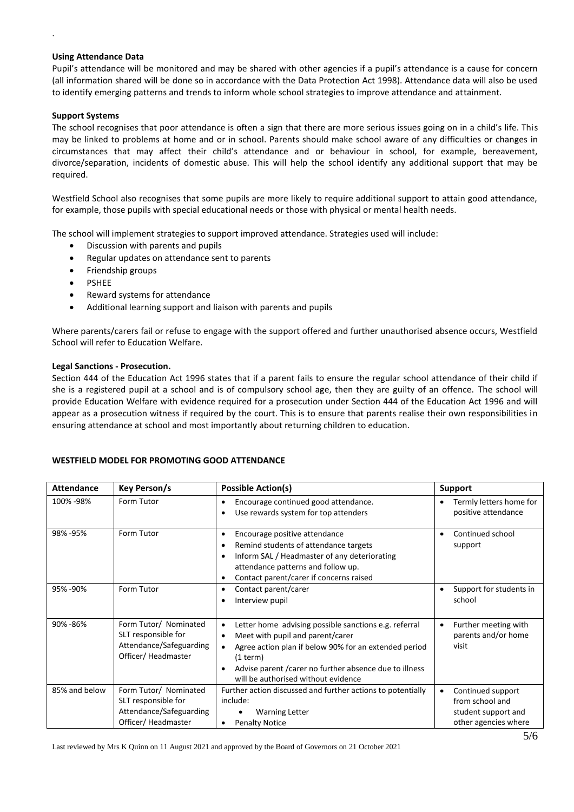# **Using Attendance Data**

Pupil's attendance will be monitored and may be shared with other agencies if a pupil's attendance is a cause for concern (all information shared will be done so in accordance with the Data Protection Act 1998). Attendance data will also be used to identify emerging patterns and trends to inform whole school strategies to improve attendance and attainment.

# **Support Systems**

.

The school recognises that poor attendance is often a sign that there are more serious issues going on in a child's life. This may be linked to problems at home and or in school. Parents should make school aware of any difficulties or changes in circumstances that may affect their child's attendance and or behaviour in school, for example, bereavement, divorce/separation, incidents of domestic abuse. This will help the school identify any additional support that may be required.

Westfield School also recognises that some pupils are more likely to require additional support to attain good attendance, for example, those pupils with special educational needs or those with physical or mental health needs.

The school will implement strategies to support improved attendance. Strategies used will include:

- Discussion with parents and pupils
- Regular updates on attendance sent to parents
- Friendship groups
- PSHEE
- Reward systems for attendance
- Additional learning support and liaison with parents and pupils

Where parents/carers fail or refuse to engage with the support offered and further unauthorised absence occurs, Westfield School will refer to Education Welfare.

# **Legal Sanctions - Prosecution.**

Section 444 of the Education Act 1996 states that if a parent fails to ensure the regular school attendance of their child if she is a registered pupil at a school and is of compulsory school age, then they are guilty of an offence. The school will provide Education Welfare with evidence required for a prosecution under Section 444 of the Education Act 1996 and will appear as a prosecution witness if required by the court. This is to ensure that parents realise their own responsibilities in ensuring attendance at school and most importantly about returning children to education.

# **WESTFIELD MODEL FOR PROMOTING GOOD ATTENDANCE**

| <b>Attendance</b> | Key Person/s                                                                                  | <b>Possible Action(s)</b>                                                                                                                                                                                                                                                                                            | <b>Support</b>                                                                           |
|-------------------|-----------------------------------------------------------------------------------------------|----------------------------------------------------------------------------------------------------------------------------------------------------------------------------------------------------------------------------------------------------------------------------------------------------------------------|------------------------------------------------------------------------------------------|
| 100% -98%         | Form Tutor                                                                                    | Encourage continued good attendance.<br>$\bullet$<br>Use rewards system for top attenders<br>$\bullet$                                                                                                                                                                                                               | Termly letters home for<br>positive attendance                                           |
| 98% - 95%         | Form Tutor                                                                                    | Encourage positive attendance<br>$\bullet$<br>Remind students of attendance targets<br>$\bullet$<br>Inform SAL / Headmaster of any deteriorating<br>$\bullet$<br>attendance patterns and follow up.<br>Contact parent/carer if concerns raised<br>$\bullet$                                                          | Continued school<br>$\bullet$<br>support                                                 |
| 95% -90%          | Form Tutor                                                                                    | Contact parent/carer<br>$\bullet$<br>Interview pupil<br>$\bullet$                                                                                                                                                                                                                                                    | Support for students in<br>٠<br>school                                                   |
| 90% - 86%         | Form Tutor/ Nominated<br>SLT responsible for<br>Attendance/Safeguarding<br>Officer/Headmaster | Letter home advising possible sanctions e.g. referral<br>$\bullet$<br>Meet with pupil and parent/carer<br>$\bullet$<br>Agree action plan if below 90% for an extended period<br>$\bullet$<br>(1 term)<br>Advise parent / carer no further absence due to illness<br>$\bullet$<br>will be authorised without evidence | Further meeting with<br>٠<br>parents and/or home<br>visit                                |
| 85% and below     | Form Tutor/ Nominated<br>SLT responsible for<br>Attendance/Safeguarding<br>Officer/Headmaster | Further action discussed and further actions to potentially<br>include:<br><b>Warning Letter</b><br><b>Penalty Notice</b><br>$\bullet$                                                                                                                                                                               | Continued support<br>٠<br>from school and<br>student support and<br>other agencies where |

Last reviewed by Mrs K Quinn on 11 August 2021 and approved by the Board of Governors on 21 October 2021